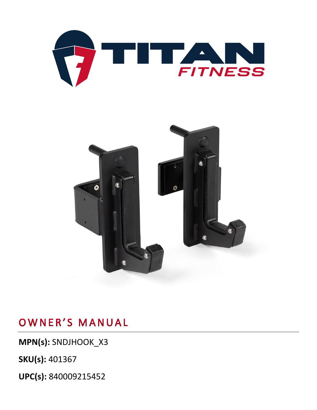



**MPN(s):** SNDJHOOK\_X3

**SKU(s):** 401367

**UPC(s):** 840009215452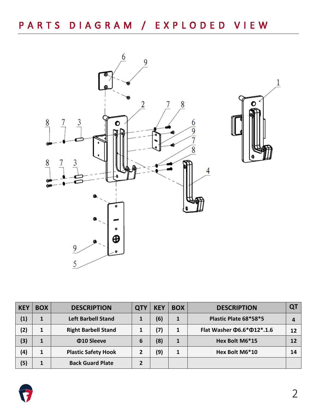

| <b>KEY</b> | <b>BOX</b> | <b>DESCRIPTION</b>         | <b>QTY</b> | <b>KEY</b> | <b>BOX</b> | <b>DESCRIPTION</b>                     | QT |
|------------|------------|----------------------------|------------|------------|------------|----------------------------------------|----|
| (1)        |            | <b>Left Barbell Stand</b>  |            | (6)        | 1          | Plastic Plate 68*58*5                  |    |
| (2)        |            | <b>Right Barbell Stand</b> |            | (7)        |            | Flat Washer $\Phi$ 6.6* $\Phi$ 12*.1.6 | 12 |
| (3)        |            | Φ10 Sleeve                 | 6          | (8)        |            | Hex Bolt M6*15                         | 12 |
| (4)        | 1          | <b>Plastic Safety Hook</b> | 2          | (9)        |            | Hex Bolt M6*10                         | 14 |
| (5)        |            | <b>Back Guard Plate</b>    | 2          |            |            |                                        |    |